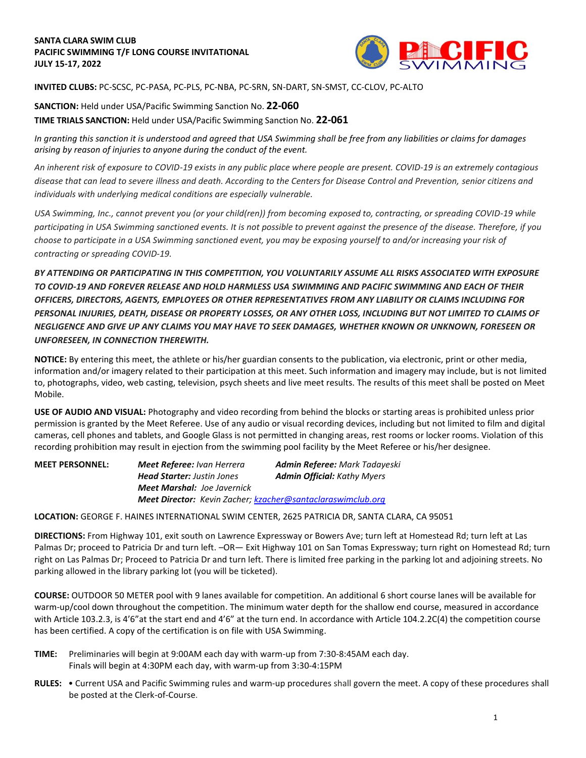

**INVITED CLUBS:** PC-SCSC, PC-PASA, PC-PLS, PC-NBA, PC-SRN, SN-DART, SN-SMST, CC-CLOV, PC-ALTO

**SANCTION:** Held under USA/Pacific Swimming Sanction No. **22-060 TIME TRIALS SANCTION:** Held under USA/Pacific Swimming Sanction No. **22-061**

*In granting this sanction it is understood and agreed that USA Swimming shall be free from any liabilities or claims for damages arising by reason of injuries to anyone during the conduct of the event.* 

*An inherent risk of exposure to COVID-19 exists in any public place where people are present. COVID-19 is an extremely contagious disease that can lead to severe illness and death. According to the Centers for Disease Control and Prevention, senior citizens and individuals with underlying medical conditions are especially vulnerable.*

*USA Swimming, Inc., cannot prevent you (or your child(ren)) from becoming exposed to, contracting, or spreading COVID-19 while participating in USA Swimming sanctioned events. It is not possible to prevent against the presence of the disease. Therefore, if you choose to participate in a USA Swimming sanctioned event, you may be exposing yourself to and/or increasing your risk of contracting or spreading COVID-19.*

*BY ATTENDING OR PARTICIPATING IN THIS COMPETITION, YOU VOLUNTARILY ASSUME ALL RISKS ASSOCIATED WITH EXPOSURE TO COVID-19 AND FOREVER RELEASE AND HOLD HARMLESS USA SWIMMING AND PACIFIC SWIMMING AND EACH OF THEIR OFFICERS, DIRECTORS, AGENTS, EMPLOYEES OR OTHER REPRESENTATIVES FROM ANY LIABILITY OR CLAIMS INCLUDING FOR PERSONAL INJURIES, DEATH, DISEASE OR PROPERTY LOSSES, OR ANY OTHER LOSS, INCLUDING BUT NOT LIMITED TO CLAIMS OF NEGLIGENCE AND GIVE UP ANY CLAIMS YOU MAY HAVE TO SEEK DAMAGES, WHETHER KNOWN OR UNKNOWN, FORESEEN OR UNFORESEEN, IN CONNECTION THEREWITH.*

**NOTICE:** By entering this meet, the athlete or his/her guardian consents to the publication, via electronic, print or other media, information and/or imagery related to their participation at this meet. Such information and imagery may include, but is not limited to, photographs, video, web casting, television, psych sheets and live meet results. The results of this meet shall be posted on Meet Mobile.

**USE OF AUDIO AND VISUAL:** Photography and video recording from behind the blocks or starting areas is prohibited unless prior permission is granted by the Meet Referee. Use of any audio or visual recording devices, including but not limited to film and digital cameras, cell phones and tablets, and Google Glass is not permitted in changing areas, rest rooms or locker rooms. Violation of this recording prohibition may result in ejection from the swimming pool facility by the Meet Referee or his/her designee.

| <b>MEET PERSONNEL:</b> | <b>Meet Referee: Ivan Herrera</b>                                  | <b>Admin Referee: Mark Tadayeski</b> |  |  |  |  |  |
|------------------------|--------------------------------------------------------------------|--------------------------------------|--|--|--|--|--|
|                        | <b>Head Starter:</b> Justin Jones                                  | <b>Admin Official: Kathy Myers</b>   |  |  |  |  |  |
|                        | <b>Meet Marshal: Joe Javernick</b>                                 |                                      |  |  |  |  |  |
|                        | <b>Meet Director:</b> Kevin Zacher; kzacher@santaclaraswimclub.org |                                      |  |  |  |  |  |

**LOCATION:** GEORGE F. HAINES INTERNATIONAL SWIM CENTER, 2625 PATRICIA DR, SANTA CLARA, CA 95051

**DIRECTIONS:** From Highway 101, exit south on Lawrence Expressway or Bowers Ave; turn left at Homestead Rd; turn left at Las Palmas Dr; proceed to Patricia Dr and turn left. –OR— Exit Highway 101 on San Tomas Expressway; turn right on Homestead Rd; turn right on Las Palmas Dr; Proceed to Patricia Dr and turn left. There is limited free parking in the parking lot and adjoining streets. No parking allowed in the library parking lot (you will be ticketed).

**COURSE:** OUTDOOR 50 METER pool with 9 lanes available for competition. An additional 6 short course lanes will be available for warm-up/cool down throughout the competition. The minimum water depth for the shallow end course, measured in accordance with Article 103.2.3, is 4'6" at the start end and 4'6" at the turn end. In accordance with Article 104.2.2C(4) the competition course has been certified. A copy of the certification is on file with USA Swimming.

- **TIME:** Preliminaries will begin at 9:00AM each day with warm-up from 7:30-8:45AM each day. Finals will begin at 4:30PM each day, with warm-up from 3:30-4:15PM
- **RULES:** Current USA and Pacific Swimming rules and warm-up procedures shall govern the meet. A copy of these procedures shall be posted at the Clerk-of-Course.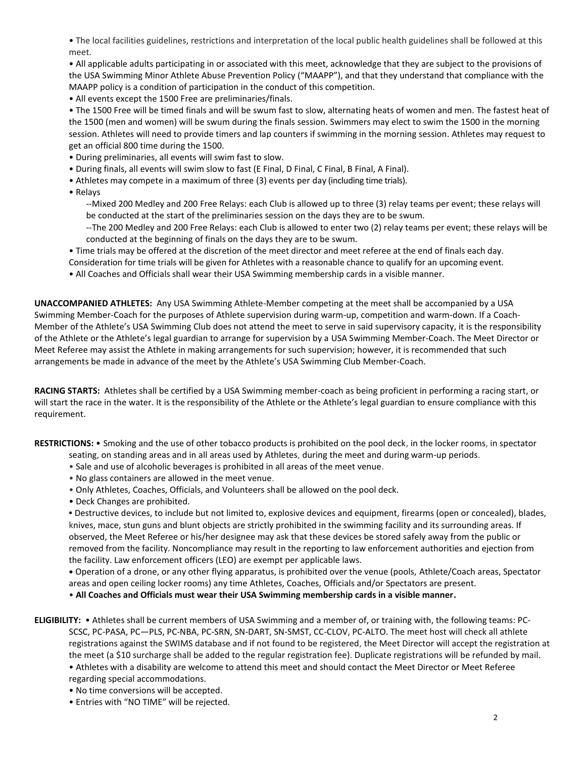• The local facilities guidelines, restrictions and interpretation of the local public health guidelines shall be followed at this meet.

• All applicable adults participating in or associated with this meet, acknowledge that they are subject to the provisions of the USA Swimming Minor Athlete Abuse Prevention Policy ("MAAPP"), and that they understand that compliance with the MAAPP policy is a condition of participation in the conduct of this competition.

• All events except the 1500 Free are preliminaries/finals.

• The 1500 Free will be timed finals and will be swum fast to slow, alternating heats of women and men. The fastest heat of the 1500 (men and women) will be swum during the finals session. Swimmers may elect to swim the 1500 in the morning session. Athletes will need to provide timers and lap counters if swimming in the morning session. Athletes may request to get an official 800 time during the 1500.

- During preliminaries, all events will swim fast to slow.
- During finals, all events will swim slow to fast (E Final, D Final, C Final, B Final, A Final).
- Athletes may compete in a maximum of three (3) events per day (including time trials).

• Relays

- --Mixed 200 Medley and 200 Free Relays: each Club is allowed up to three (3) relay teams per event; these relays will be conducted at the start of the preliminaries session on the days they are to be swum.
- --The 200 Medley and 200 Free Relays: each Club is allowed to enter two (2) relay teams per event; these relays will be conducted at the beginning of finals on the days they are to be swum.
- Time trials may be offered at the discretion of the meet director and meet referee at the end of finals each day.
- Consideration for time trials will be given for Athletes with a reasonable chance to qualify for an upcoming event.
- All Coaches and Officials shall wear their USA Swimming membership cards in a visible manner.

**UNACCOMPANIED ATHLETES:** Any USA Swimming Athlete-Member competing at the meet shall be accompanied by a USA Swimming Member-Coach for the purposes of Athlete supervision during warm-up, competition and warm-down. If a Coach-Member of the Athlete's USA Swimming Club does not attend the meet to serve in said supervisory capacity, it is the responsibility of the Athlete or the Athlete's legal guardian to arrange for supervision by a USA Swimming Member-Coach. The Meet Director or Meet Referee may assist the Athlete in making arrangements for such supervision; however, it is recommended that such arrangements be made in advance of the meet by the Athlete's USA Swimming Club Member-Coach.

**RACING STARTS:** Athletes shall be certified by a USA Swimming member-coach as being proficient in performing a racing start, or will start the race in the water. It is the responsibility of the Athlete or the Athlete's legal guardian to ensure compliance with this requirement.

**RESTRICTIONS:** • Smoking and the use of other tobacco products is prohibited on the pool deck, in the locker rooms, in spectator

- seating, on standing areas and in all areas used by Athletes, during the meet and during warm-up periods.
- Sale and use of alcoholic beverages is prohibited in all areas of the meet venue.
- No glass containers are allowed in the meet venue.
- Only Athletes, Coaches, Officials, and Volunteers shall be allowed on the pool deck.
- Deck Changes are prohibited.

**•** Destructive devices, to include but not limited to, explosive devices and equipment, firearms (open or concealed), blades, knives, mace, stun guns and blunt objects are strictly prohibited in the swimming facility and its surrounding areas. If observed, the Meet Referee or his/her designee may ask that these devices be stored safely away from the public or removed from the facility. Noncompliance may result in the reporting to law enforcement authorities and ejection from the facility. Law enforcement officers (LEO) are exempt per applicable laws.

**•** Operation of a drone, or any other flying apparatus, is prohibited over the venue (pools, Athlete/Coach areas, Spectator areas and open ceiling locker rooms) any time Athletes, Coaches, Officials and/or Spectators are present.

• **All Coaches and Officials must wear their USA Swimming membership cards in a visible manner.**

**ELIGIBILITY:** • Athletes shall be current members of USA Swimming and a member of, or training with, the following teams: PC-SCSC, PC-PASA, PC—PLS, PC-NBA, PC-SRN, SN-DART, SN-SMST, CC-CLOV, PC-ALTO. The meet host will check all athlete registrations against the SWIMS database and if not found to be registered, the Meet Director will accept the registration at the meet (a \$10 surcharge shall be added to the regular registration fee). Duplicate registrations will be refunded by mail. • Athletes with a disability are welcome to attend this meet and should contact the Meet Director or Meet Referee regarding special accommodations.

- No time conversions will be accepted.
- Entries with "NO TIME" will be rejected.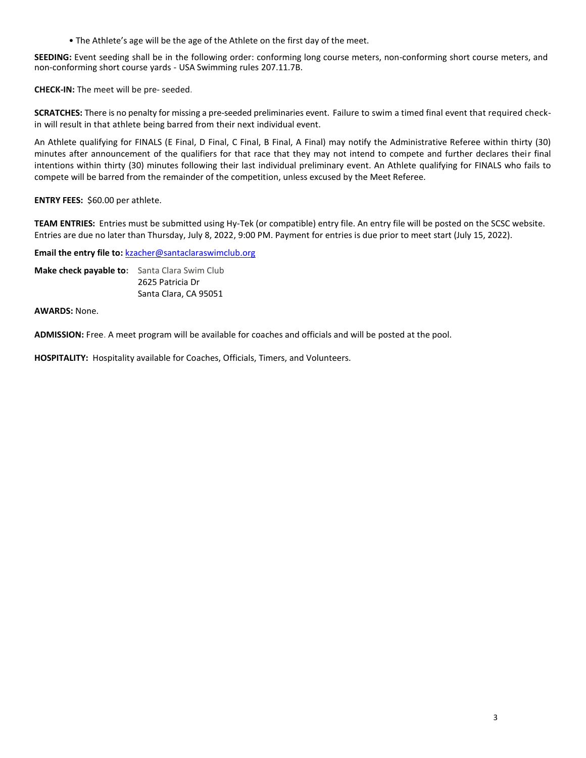• The Athlete's age will be the age of the Athlete on the first day of the meet.

**SEEDING:** Event seeding shall be in the following order: conforming long course meters, non-conforming short course meters, and non-conforming short course yards - USA Swimming rules 207.11.7B.

**CHECK-IN:** The meet will be pre- seeded.

**SCRATCHES:** There is no penalty for missing a pre-seeded preliminaries event. Failure to swim a timed final event that required checkin will result in that athlete being barred from their next individual event.

An Athlete qualifying for FINALS (E Final, D Final, C Final, B Final, A Final) may notify the Administrative Referee within thirty (30) minutes after announcement of the qualifiers for that race that they may not intend to compete and further declares their final intentions within thirty (30) minutes following their last individual preliminary event. An Athlete qualifying for FINALS who fails to compete will be barred from the remainder of the competition, unless excused by the Meet Referee.

## **ENTRY FEES:** \$60.00 per athlete.

**TEAM ENTRIES:** Entries must be submitted using Hy-Tek (or compatible) entry file. An entry file will be posted on the SCSC website. Entries are due no later than Thursday, July 8, 2022, 9:00 PM. Payment for entries is due prior to meet start (July 15, 2022).

Email the entry file to: [kzacher@santaclaraswimclub.org](mailto:kzacher@santaclaraswimclub.org)

**Make check payable to:** Santa Clara Swim Club 2625 Patricia Dr Santa Clara, CA 95051

**AWARDS:** None.

**ADMISSION:** Free. A meet program will be available for coaches and officials and will be posted at the pool.

**HOSPITALITY:** Hospitality available for Coaches, Officials, Timers, and Volunteers.